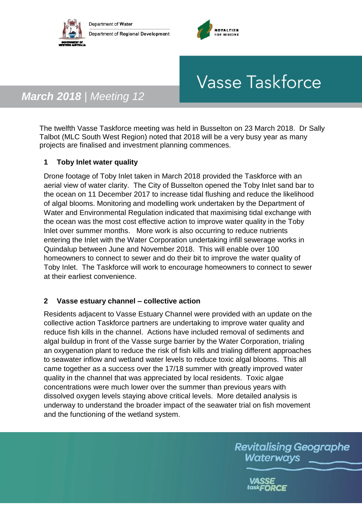



# **Vasse Taskforce**

## *March 2018 | Meeting 12*

The twelfth Vasse Taskforce meeting was held in Busselton on 23 March 2018. Dr Sally Talbot (MLC South West Region) noted that 2018 will be a very busy year as many projects are finalised and investment planning commences.

#### **1 Toby Inlet water quality**

Drone footage of Toby Inlet taken in March 2018 provided the Taskforce with an aerial view of water clarity. The City of Busselton opened the Toby Inlet sand bar to the ocean on 11 December 2017 to increase tidal flushing and reduce the likelihood of algal blooms. Monitoring and modelling work undertaken by the Department of Water and Environmental Regulation indicated that maximising tidal exchange with the ocean was the most cost effective action to improve water quality in the Toby Inlet over summer months. More work is also occurring to reduce nutrients entering the Inlet with the Water Corporation undertaking infill sewerage works in Quindalup between June and November 2018. This will enable over 100 homeowners to connect to sewer and do their bit to improve the water quality of Toby Inlet. The Taskforce will work to encourage homeowners to connect to sewer at their earliest convenience.

#### **2 Vasse estuary channel – collective action**

Residents adjacent to Vasse Estuary Channel were provided with an update on the collective action Taskforce partners are undertaking to improve water quality and reduce fish kills in the channel. Actions have included removal of sediments and algal buildup in front of the Vasse surge barrier by the Water Corporation, trialing an oxygenation plant to reduce the risk of fish kills and trialing different approaches to seawater inflow and wetland water levels to reduce toxic algal blooms. This all came together as a success over the 17/18 summer with greatly improved water quality in the channel that was appreciated by local residents. Toxic algae concentrations were much lower over the summer than previous years with dissolved oxygen levels staying above critical levels. More detailed analysis is underway to understand the broader impact of the seawater trial on fish movement and the functioning of the wetland system.

> **Revitalising Geographe** Waterways

> > task**FORCE**